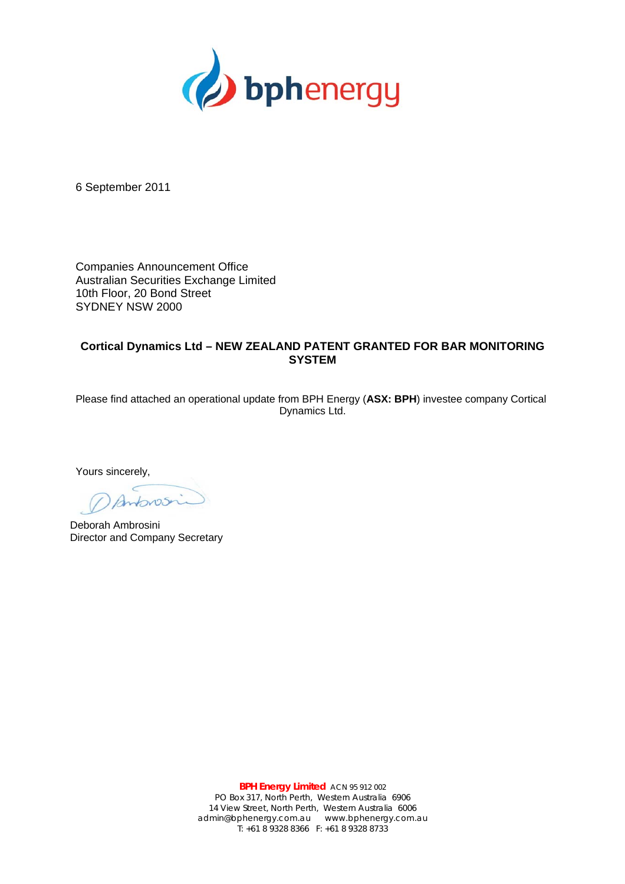

6 September 2011

Companies Announcement Office Australian Securities Exchange Limited 10th Floor, 20 Bond Street SYDNEY NSW 2000

## **Cortical Dynamics Ltd – NEW ZEALAND PATENT GRANTED FOR BAR MONITORING SYSTEM**

Please find attached an operational update from BPH Energy (**ASX: BPH**) investee company Cortical Dynamics Ltd.

Yours sincerely,

 $425$ 

Deborah Ambrosini Director and Company Secretary

**BPH Energy Limited** ACN 95 912 002 PO Box 317, North Perth, Western Australia 6906 14 View Street, North Perth, Western Australia 6006 admin@bphenergy.com.au www.bphenergy.com.au T: +61 8 9328 8366 F: +61 8 9328 8733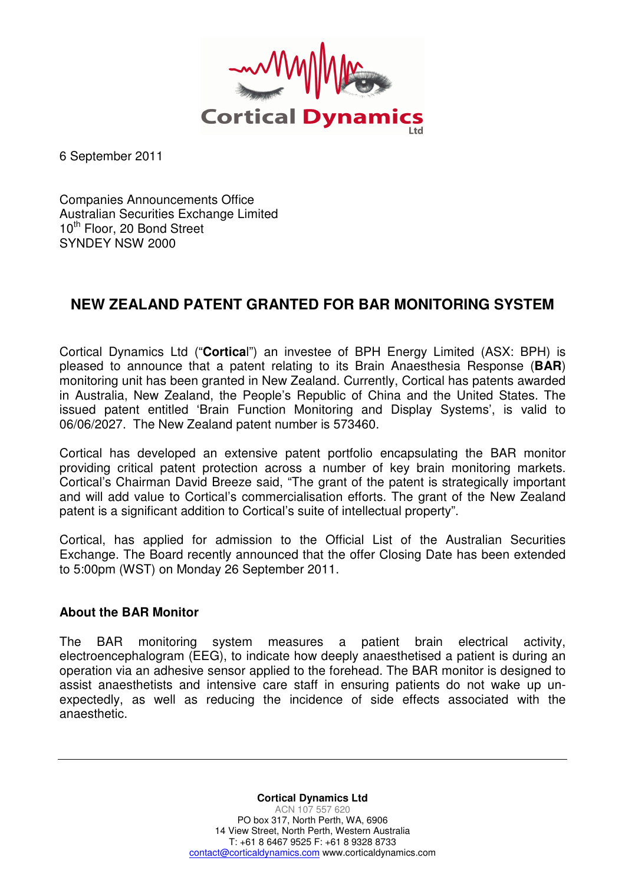

6 September 2011

Companies Announcements Office Australian Securities Exchange Limited 10<sup>th</sup> Floor, 20 Bond Street SYNDEY NSW 2000

## **NEW ZEALAND PATENT GRANTED FOR BAR MONITORING SYSTEM**

Cortical Dynamics Ltd ("**Cortica**l") an investee of BPH Energy Limited (ASX: BPH) is pleased to announce that a patent relating to its Brain Anaesthesia Response (**BAR**) monitoring unit has been granted in New Zealand. Currently, Cortical has patents awarded in Australia, New Zealand, the People's Republic of China and the United States. The issued patent entitled 'Brain Function Monitoring and Display Systems', is valid to 06/06/2027. The New Zealand patent number is 573460.

Cortical has developed an extensive patent portfolio encapsulating the BAR monitor providing critical patent protection across a number of key brain monitoring markets. Cortical's Chairman David Breeze said, "The grant of the patent is strategically important and will add value to Cortical's commercialisation efforts. The grant of the New Zealand patent is a significant addition to Cortical's suite of intellectual property".

Cortical, has applied for admission to the Official List of the Australian Securities Exchange. The Board recently announced that the offer Closing Date has been extended to 5:00pm (WST) on Monday 26 September 2011.

## **About the BAR Monitor**

The BAR monitoring system measures a patient brain electrical activity, electroencephalogram (EEG), to indicate how deeply anaesthetised a patient is during an operation via an adhesive sensor applied to the forehead. The BAR monitor is designed to assist anaesthetists and intensive care staff in ensuring patients do not wake up unexpectedly, as well as reducing the incidence of side effects associated with the anaesthetic.